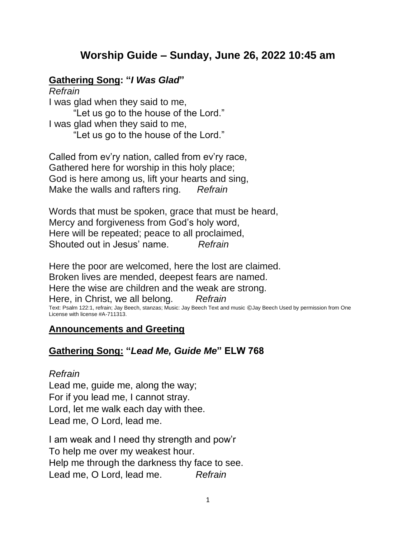# **Worship Guide – Sunday, June 26, 2022 10:45 am**

## **Gathering Song: "***I Was Glad***"**

*Refrain* I was glad when they said to me, "Let us go to the house of the Lord." I was glad when they said to me, "Let us go to the house of the Lord."

Called from ev'ry nation, called from ev'ry race, Gathered here for worship in this holy place; God is here among us, lift your hearts and sing, Make the walls and rafters ring. *Refrain*

Words that must be spoken, grace that must be heard, Mercy and forgiveness from God's holy word, Here will be repeated; peace to all proclaimed, Shouted out in Jesus' name. *Refrain*

Here the poor are welcomed, here the lost are claimed. Broken lives are mended, deepest fears are named. Here the wise are children and the weak are strong. Here, in Christ, we all belong. *Refrain* Text: Psalm 122:1, refrain; Jay Beech, stanzas; Music: Jay Beech Text and music ©Jay Beech Used by permission from One License with license #A-711313.

#### **Announcements and Greeting**

## **Gathering Song: "***Lead Me, Guide Me***" ELW 768**

#### *Refrain*

Lead me, guide me, along the way; For if you lead me, I cannot stray. Lord, let me walk each day with thee. Lead me, O Lord, lead me.

I am weak and I need thy strength and pow'r To help me over my weakest hour. Help me through the darkness thy face to see. Lead me, O Lord, lead me. *Refrain*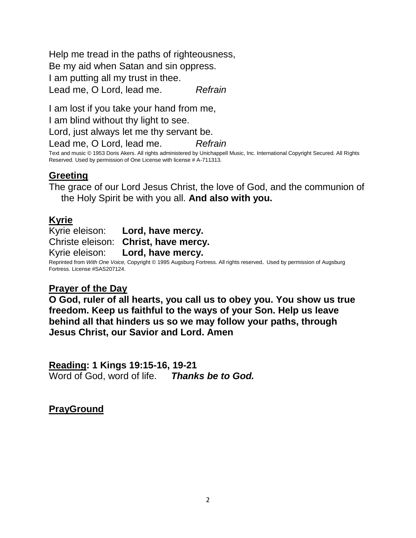Help me tread in the paths of righteousness, Be my aid when Satan and sin oppress. I am putting all my trust in thee. Lead me, O Lord, lead me. *Refrain*

I am lost if you take your hand from me, I am blind without thy light to see. Lord, just always let me thy servant be.

Lead me, O Lord, lead me. *Refrain* Text and music © 1953 Doris Akers. All rights administered by Unichappell Music, Inc. International Copyright Secured. All Rights Reserved. Used by permission of One License with license # A-711313.

# **Greeting**

The grace of our Lord Jesus Christ, the love of God, and the communion of the Holy Spirit be with you all. **And also with you.**

# **Kyrie**

Kyrie eleison: **Lord, have mercy.** Christe eleison: **Christ, have mercy.** Kyrie eleison: **Lord, have mercy.**

Reprinted from *With One Voice,* Copyright © 1995 Augsburg Fortress. All rights reserved. Used by permission of Augsburg Fortress. License #SAS207124.

## **Prayer of the Day**

**O God, ruler of all hearts, you call us to obey you. You show us true freedom. Keep us faithful to the ways of your Son. Help us leave behind all that hinders us so we may follow your paths, through Jesus Christ, our Savior and Lord. Amen**

**Reading: 1 Kings 19:15-16, 19-21** Word of God, word of life. *Thanks be to God.*

**PrayGround**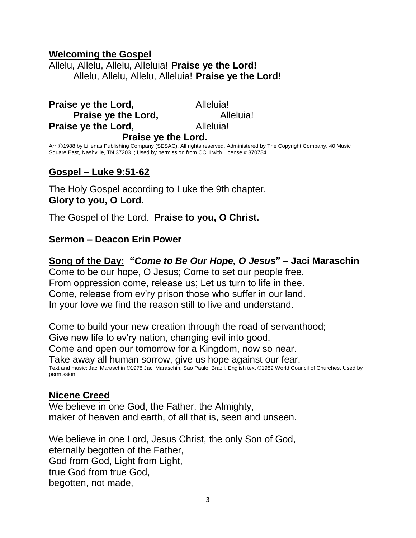#### **Welcoming the Gospel**

Allelu, Allelu, Allelu, Alleluia! **Praise ye the Lord!** Allelu, Allelu, Allelu, Alleluia! **Praise ye the Lord!**

**Praise ye the Lord, The Alleluia! Praise ye the Lord, The Contract Alleluia! Praise ve the Lord, The Alleluia! Praise ye the Lord.**

Arr ©1988 by Lillenas Publishing Company (SESAC). All rights reserved. Administered by The Copyright Company, 40 Music Square East, Nashville, TN 37203. ; Used by permission from CCLI with License # 370784.

#### **Gospel – Luke 9:51-62**

The Holy Gospel according to Luke the 9th chapter. **Glory to you, O Lord.**

The Gospel of the Lord. **Praise to you, O Christ.**

#### **Sermon – Deacon Erin Power**

**Song of the Day: "***Come to Be Our Hope, O Jesus***" – Jaci Maraschin**

Come to be our hope, O Jesus; Come to set our people free. From oppression come, release us; Let us turn to life in thee. Come, release from ev'ry prison those who suffer in our land. In your love we find the reason still to live and understand.

Come to build your new creation through the road of servanthood; Give new life to ev'ry nation, changing evil into good. Come and open our tomorrow for a Kingdom, now so near. Take away all human sorrow, give us hope against our fear. Text and music: Jaci Maraschin ©1978 Jaci Maraschin, Sao Paulo, Brazil. English text ©1989 World Council of Churches. Used by permission.

#### **Nicene Creed**

We believe in one God, the Father, the Almighty, maker of heaven and earth, of all that is, seen and unseen.

We believe in one Lord, Jesus Christ, the only Son of God, eternally begotten of the Father, God from God, Light from Light, true God from true God, begotten, not made,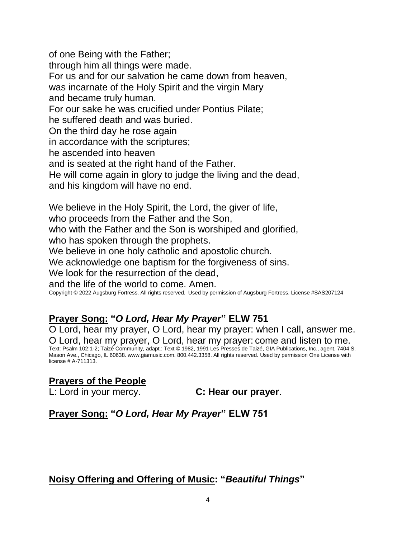of one Being with the Father; through him all things were made. For us and for our salvation he came down from heaven, was incarnate of the Holy Spirit and the virgin Mary and became truly human. For our sake he was crucified under Pontius Pilate; he suffered death and was buried. On the third day he rose again in accordance with the scriptures; he ascended into heaven and is seated at the right hand of the Father. He will come again in glory to judge the living and the dead, and his kingdom will have no end. We believe in the Holy Spirit, the Lord, the giver of life, who proceeds from the Father and the Son, who with the Father and the Son is worshiped and glorified,

who has spoken through the prophets.

We believe in one holy catholic and apostolic church.

We acknowledge one baptism for the forgiveness of sins.

We look for the resurrection of the dead,

and the life of the world to come. Amen.

Copyright © 2022 Augsburg Fortress. All rights reserved. Used by permission of Augsburg Fortress. License #SAS207124

## **Prayer Song: "***O Lord, Hear My Prayer***" ELW 751**

O Lord, hear my prayer, O Lord, hear my prayer: when I call, answer me. O Lord, hear my prayer, O Lord, hear my prayer: come and listen to me. Text: Psalm 102:1-2; Taizé Community, adapt.; Text © 1982, 1991 Les Presses de Taizé, GIA Publications, Inc., agent. 7404 S. Mason Ave., Chicago, IL 60638. www.giamusic.com. 800.442.3358. All rights reserved. Used by permission One License with license # A-711313.

## **Prayers of the People**

L: Lord in your mercy. **C: Hear our prayer**.

## **Prayer Song: "***O Lord, Hear My Prayer***" ELW 751**

## **Noisy Offering and Offering of Music: "***Beautiful Things***"**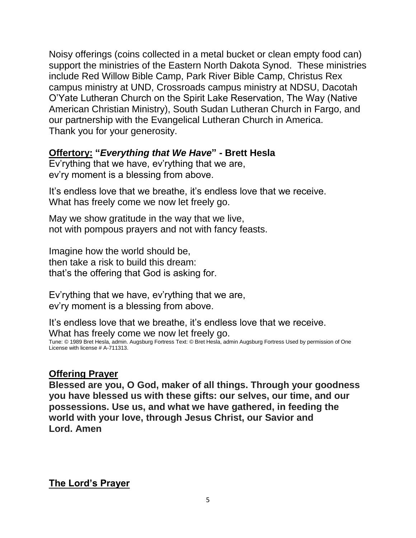Noisy offerings (coins collected in a metal bucket or clean empty food can) support the ministries of the Eastern North Dakota Synod. These ministries include Red Willow Bible Camp, Park River Bible Camp, Christus Rex campus ministry at UND, Crossroads campus ministry at NDSU, Dacotah O'Yate Lutheran Church on the Spirit Lake Reservation, The Way (Native American Christian Ministry), South Sudan Lutheran Church in Fargo, and our partnership with the Evangelical Lutheran Church in America. Thank you for your generosity.

#### **Offertory: "***Everything that We Have***" - Brett Hesla**

Ev'rything that we have, ev'rything that we are, ev'ry moment is a blessing from above.

It's endless love that we breathe, it's endless love that we receive. What has freely come we now let freely go.

May we show gratitude in the way that we live, not with pompous prayers and not with fancy feasts.

Imagine how the world should be, then take a risk to build this dream: that's the offering that God is asking for.

Ev'rything that we have, ev'rything that we are, ev'ry moment is a blessing from above.

It's endless love that we breathe, it's endless love that we receive. What has freely come we now let freely go. Tune: © 1989 Bret Hesla, admin. Augsburg Fortress Text: © Bret Hesla, admin Augsburg Fortress Used by permission of One License with license # A-711313.

## **Offering Prayer**

**Blessed are you, O God, maker of all things. Through your goodness you have blessed us with these gifts: our selves, our time, and our possessions. Use us, and what we have gathered, in feeding the world with your love, through Jesus Christ, our Savior and Lord. Amen**

**The Lord's Prayer**